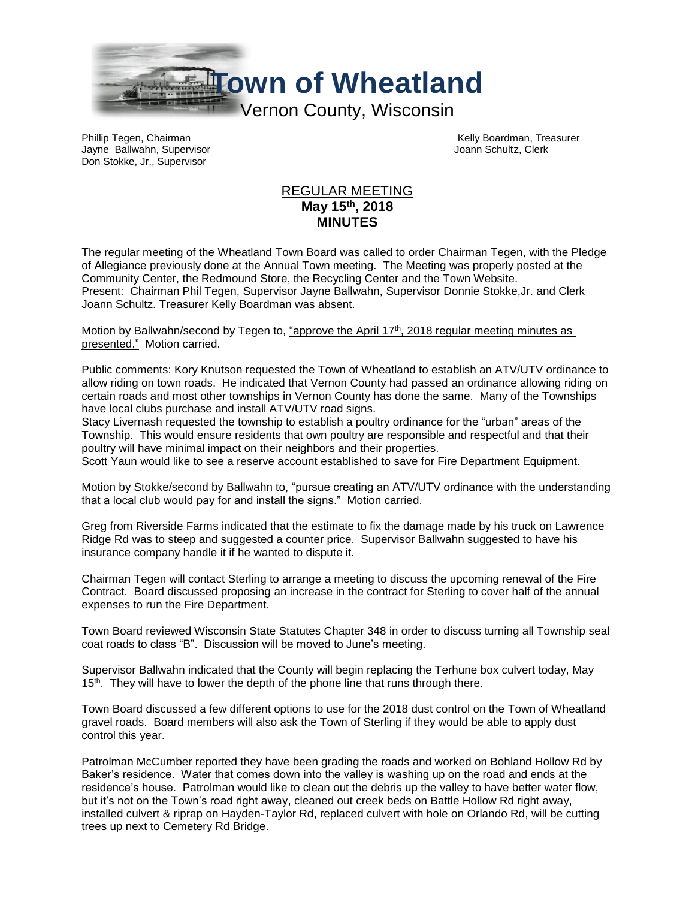

Phillip Tegen, Chairman (Chairman Chairman Kelly Boardman, Treasurer Chairman Chairman Kelly Boardman, Treasurer<br>
The Hairman Kelly Board Chairman Kelly Board Chairman Chairman (Chairman Chairman Chairman Chairman Chairman Jayne Ballwahn, Supervisor Don Stokke, Jr., Supervisor

## REGULAR MEETING **May 15th , 2018 MINUTES**

The regular meeting of the Wheatland Town Board was called to order Chairman Tegen, with the Pledge of Allegiance previously done at the Annual Town meeting. The Meeting was properly posted at the Community Center, the Redmound Store, the Recycling Center and the Town Website. Present: Chairman Phil Tegen, Supervisor Jayne Ballwahn, Supervisor Donnie Stokke,Jr. and Clerk Joann Schultz. Treasurer Kelly Boardman was absent.

Motion by Ballwahn/second by Tegen to, "approve the April 17<sup>th</sup>, 2018 regular meeting minutes as presented." Motion carried.

Public comments: Kory Knutson requested the Town of Wheatland to establish an ATV/UTV ordinance to allow riding on town roads. He indicated that Vernon County had passed an ordinance allowing riding on certain roads and most other townships in Vernon County has done the same. Many of the Townships have local clubs purchase and install ATV/UTV road signs.

Stacy Livernash requested the township to establish a poultry ordinance for the "urban" areas of the Township. This would ensure residents that own poultry are responsible and respectful and that their poultry will have minimal impact on their neighbors and their properties.

Scott Yaun would like to see a reserve account established to save for Fire Department Equipment.

Motion by Stokke/second by Ballwahn to, "pursue creating an ATV/UTV ordinance with the understanding that a local club would pay for and install the signs." Motion carried.

Greg from Riverside Farms indicated that the estimate to fix the damage made by his truck on Lawrence Ridge Rd was to steep and suggested a counter price. Supervisor Ballwahn suggested to have his insurance company handle it if he wanted to dispute it.

Chairman Tegen will contact Sterling to arrange a meeting to discuss the upcoming renewal of the Fire Contract. Board discussed proposing an increase in the contract for Sterling to cover half of the annual expenses to run the Fire Department.

Town Board reviewed Wisconsin State Statutes Chapter 348 in order to discuss turning all Township seal coat roads to class "B". Discussion will be moved to June's meeting.

Supervisor Ballwahn indicated that the County will begin replacing the Terhune box culvert today, May 15<sup>th</sup>. They will have to lower the depth of the phone line that runs through there.

Town Board discussed a few different options to use for the 2018 dust control on the Town of Wheatland gravel roads. Board members will also ask the Town of Sterling if they would be able to apply dust control this year.

Patrolman McCumber reported they have been grading the roads and worked on Bohland Hollow Rd by Baker's residence. Water that comes down into the valley is washing up on the road and ends at the residence's house. Patrolman would like to clean out the debris up the valley to have better water flow, but it's not on the Town's road right away, cleaned out creek beds on Battle Hollow Rd right away, installed culvert & riprap on Hayden-Taylor Rd, replaced culvert with hole on Orlando Rd, will be cutting trees up next to Cemetery Rd Bridge.